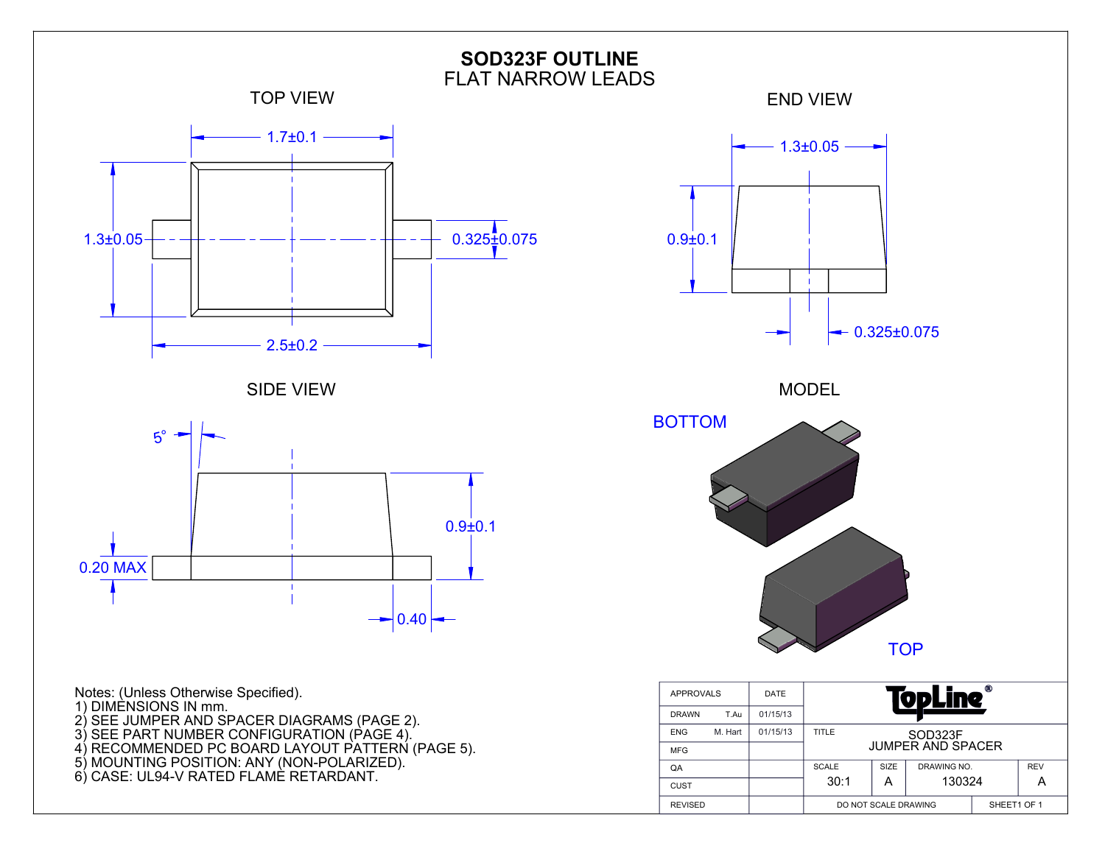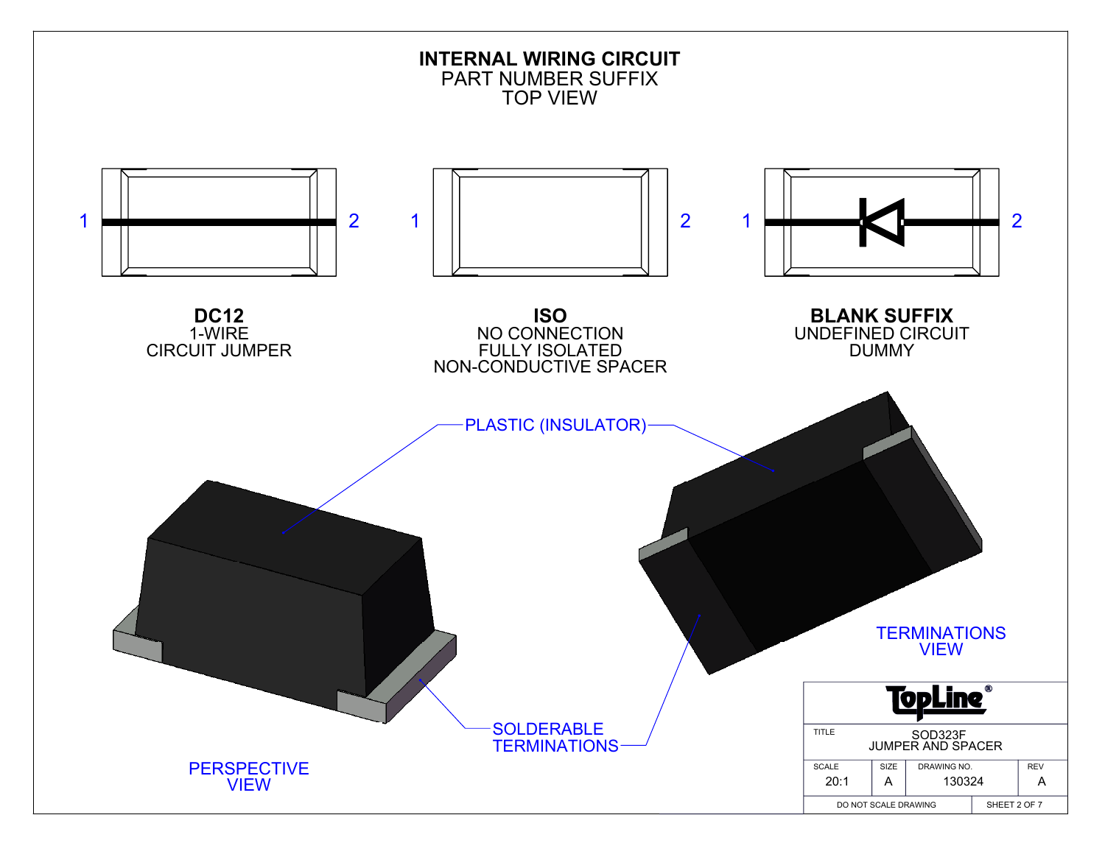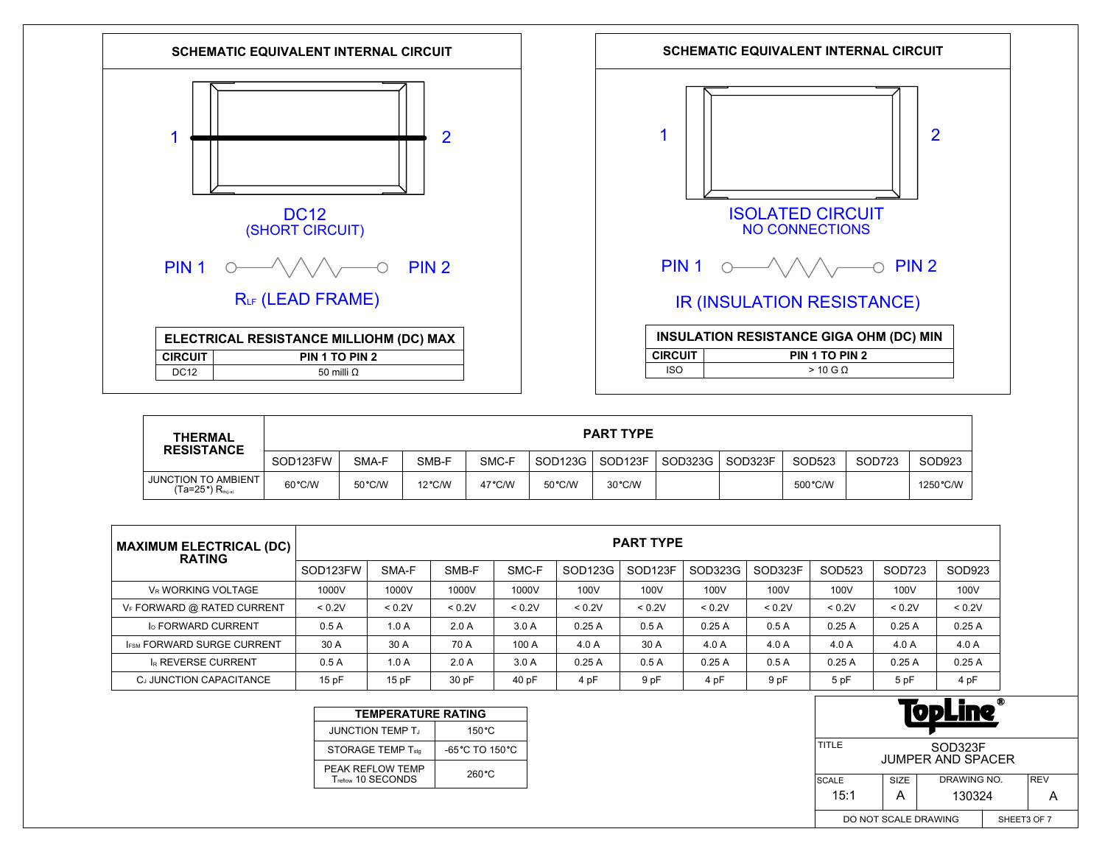



| <b>THERMAL</b><br><b>RESISTANCE</b>                         | <b>PART TYPE</b> |        |                  |                  |                     |         |         |         |          |        |           |
|-------------------------------------------------------------|------------------|--------|------------------|------------------|---------------------|---------|---------|---------|----------|--------|-----------|
|                                                             | SOD123FW         | SMA-F  | SMB-F            | SMC-F            | SOD <sub>123G</sub> | SOD123F | SOD323G | SOD323F | SOD523   | SOD723 | SOD923    |
| <b>JUNCTION TO AMBIENT</b><br>$(Ta=25^{\circ})$ $R_{th(a)}$ | 60°C/W           | 50°C/W | $12^{\circ}$ C/W | $47^{\circ}$ C/W | 50 °C/W             | 30 °C/W |         |         | 500 °C/W |        | 1250 °C/W |

| <b>MAXIMUM ELECTRICAL (DC)</b><br><b>RATING</b> |          | <b>PART TYPE</b> |        |        |         |                     |         |         |        |        |        |  |
|-------------------------------------------------|----------|------------------|--------|--------|---------|---------------------|---------|---------|--------|--------|--------|--|
|                                                 | SOD123FW | SMA-F            | SMB-F  | SMC-F  | SOD123G | SOD <sub>123F</sub> | SOD323G | SOD323F | SOD523 | SOD723 | SOD923 |  |
| VR WORKING VOLTAGE                              | 1000V    | 1000V            | 1000V  | 1000V  | 100V    | 100V                | 100V    | 100V    | 100V   | 100V   | 100V   |  |
| VF FORWARD @ RATED CURRENT                      | < 0.2V   | < 0.2V           | < 0.2V | < 0.2V | < 0.2V  | < 0.2V              | < 0.2V  | < 0.2V  | < 0.2V | < 0.2V | < 0.2V |  |
| <b>Io FORWARD CURRENT</b>                       | 0.5A     | 1.0A             | 2.0A   | 3.0A   | 0.25A   | 0.5A                | 0.25A   | 0.5A    | 0.25A  | 0.25A  | 0.25A  |  |
| <b>IFSM FORWARD SURGE CURRENT</b>               | 30 A     | 30 A             | 70 A   | 100 A  | 4.0A    | 30 A                | 4.0A    | 4.0 A   | 4.0 A  | 4.0 A  | 4.0 A  |  |
| <b>IR REVERSE CURRENT</b>                       | 0.5A     | 1.0A             | 2.0A   | 3.0A   | 0.25A   | 0.5A                | 0.25A   | 0.5A    | 0.25A  | 0.25A  | 0.25A  |  |
| CJ JUNCTION CAPACITANCE                         | 15 pF    | 15pF             | 30 pF  | 40 pF  | 4 pF    | 9 pF                | 4 pF    | 9 pF    | 5 pF   | 5 pF   | 4 pF   |  |

| <b>TEMPERATURE RATING</b>           |  |  |  |  |  |  |  |  |  |
|-------------------------------------|--|--|--|--|--|--|--|--|--|
| 150 °C                              |  |  |  |  |  |  |  |  |  |
| $-65^{\circ}$ C TO 150 $^{\circ}$ C |  |  |  |  |  |  |  |  |  |
| 260 °C                              |  |  |  |  |  |  |  |  |  |
|                                     |  |  |  |  |  |  |  |  |  |

| Ф<br>VPLIN                                   |             |                           |  |  |  |  |  |  |
|----------------------------------------------|-------------|---------------------------|--|--|--|--|--|--|
| TITLE<br>SOD323F<br><b>JUMPER AND SPACER</b> |             |                           |  |  |  |  |  |  |
| <b>SCALE</b>                                 | SIZE        | DRAWING NO.<br><b>REV</b> |  |  |  |  |  |  |
| 15:1                                         | А           | 130324                    |  |  |  |  |  |  |
| DO NOT SCALE DRAWING                         | SHEET3 OF 7 |                           |  |  |  |  |  |  |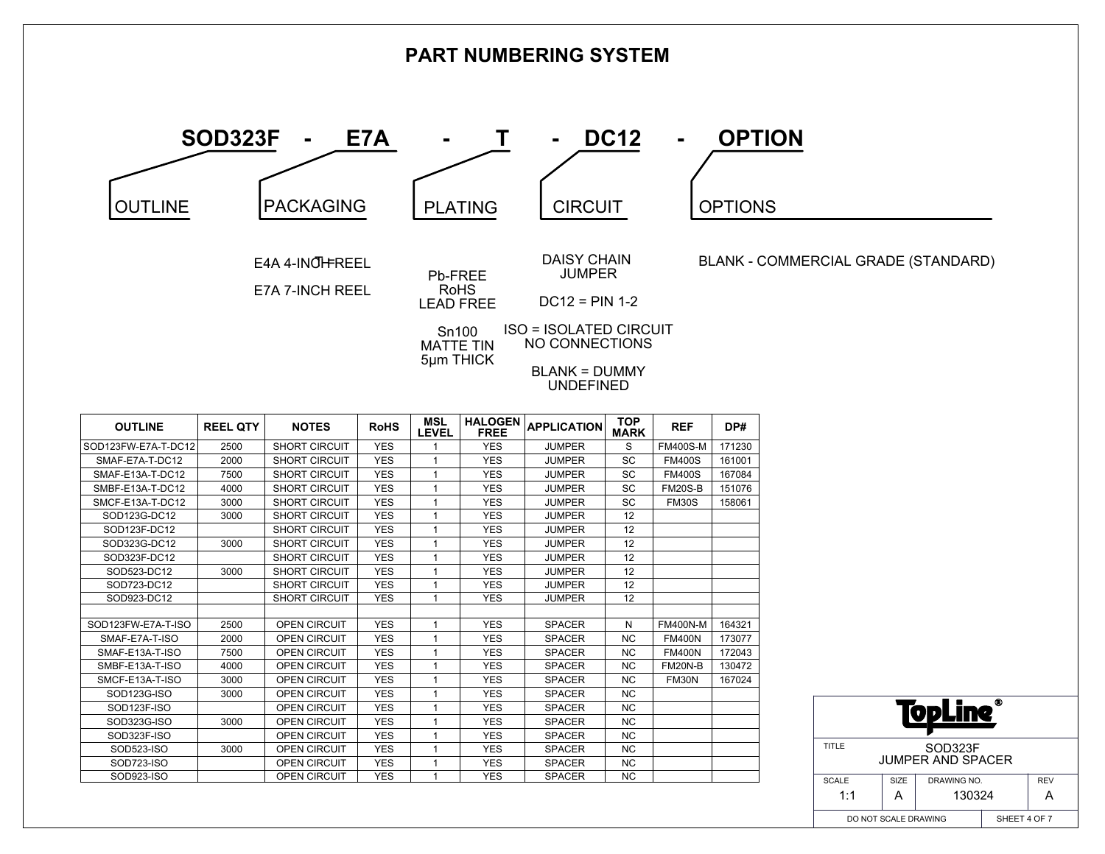

| <b>OUTLINE</b>      | <b>REEL QIY</b> | NUILS                | конэ       | <b>LEVEL</b> | <b>FREE</b> | <b>APPLICATION</b> | <b>MARK</b> | REF             | DP#    |
|---------------------|-----------------|----------------------|------------|--------------|-------------|--------------------|-------------|-----------------|--------|
| SOD123FW-E7A-T-DC12 | 2500            | <b>SHORT CIRCUIT</b> | <b>YES</b> |              | <b>YES</b>  | <b>JUMPER</b>      | S           | <b>FM400S-M</b> | 171230 |
| SMAF-E7A-T-DC12     | 2000            | <b>SHORT CIRCUIT</b> | <b>YES</b> |              | <b>YES</b>  | <b>JUMPER</b>      | SC          | <b>FM400S</b>   | 161001 |
| SMAF-E13A-T-DC12    | 7500            | <b>SHORT CIRCUIT</b> | <b>YES</b> |              | <b>YES</b>  | <b>JUMPER</b>      | SC          | <b>FM400S</b>   | 167084 |
| SMBF-E13A-T-DC12    | 4000            | <b>SHORT CIRCUIT</b> | <b>YES</b> |              | <b>YES</b>  | <b>JUMPER</b>      | SC          | <b>FM20S-B</b>  | 151076 |
| SMCF-E13A-T-DC12    | 3000            | <b>SHORT CIRCUIT</b> | <b>YES</b> | 1            | <b>YES</b>  | <b>JUMPER</b>      | SC          | <b>FM30S</b>    | 158061 |
| SOD123G-DC12        | 3000            | <b>SHORT CIRCUIT</b> | <b>YES</b> | 1            | <b>YES</b>  | <b>JUMPER</b>      | 12          |                 |        |
| SOD123F-DC12        |                 | <b>SHORT CIRCUIT</b> | <b>YES</b> | $\mathbf{1}$ | <b>YES</b>  | <b>JUMPER</b>      | 12          |                 |        |
| SOD323G-DC12        | 3000            | <b>SHORT CIRCUIT</b> | <b>YES</b> | 1            | <b>YES</b>  | <b>JUMPER</b>      | 12          |                 |        |
| SOD323F-DC12        |                 | <b>SHORT CIRCUIT</b> | <b>YES</b> |              | <b>YES</b>  | <b>JUMPER</b>      | 12          |                 |        |
| SOD523-DC12         | 3000            | <b>SHORT CIRCUIT</b> | <b>YES</b> | 1            | <b>YES</b>  | <b>JUMPER</b>      | 12          |                 |        |
| SOD723-DC12         |                 | <b>SHORT CIRCUIT</b> | <b>YES</b> |              | <b>YES</b>  | <b>JUMPER</b>      | 12          |                 |        |
| SOD923-DC12         |                 | <b>SHORT CIRCUIT</b> | <b>YES</b> | 1            | <b>YES</b>  | JUMPER             | 12          |                 |        |
|                     |                 |                      |            |              |             |                    |             |                 |        |
| SOD123FW-E7A-T-ISO  | 2500            | <b>OPEN CIRCUIT</b>  | <b>YES</b> |              | <b>YES</b>  | <b>SPACER</b>      | N           | <b>FM400N-M</b> | 164321 |
| SMAF-E7A-T-ISO      | 2000            | <b>OPEN CIRCUIT</b>  | <b>YES</b> |              | <b>YES</b>  | <b>SPACER</b>      | <b>NC</b>   | <b>FM400N</b>   | 173077 |
| SMAF-E13A-T-ISO     | 7500            | <b>OPEN CIRCUIT</b>  | <b>YES</b> |              | <b>YES</b>  | <b>SPACER</b>      | <b>NC</b>   | <b>FM400N</b>   | 172043 |
| SMBF-E13A-T-ISO     | 4000            | <b>OPEN CIRCUIT</b>  | <b>YES</b> | 1            | <b>YES</b>  | <b>SPACER</b>      | <b>NC</b>   | FM20N-B         | 130472 |
| SMCF-E13A-T-ISO     | 3000            | <b>OPEN CIRCUIT</b>  | <b>YES</b> |              | <b>YES</b>  | <b>SPACER</b>      | <b>NC</b>   | FM30N           | 167024 |
| SOD123G-ISO         | 3000            | <b>OPEN CIRCUIT</b>  | <b>YES</b> | $\mathbf{1}$ | <b>YES</b>  | <b>SPACER</b>      | <b>NC</b>   |                 |        |
| SOD123F-ISO         |                 | <b>OPEN CIRCUIT</b>  | <b>YES</b> | 1            | <b>YES</b>  | <b>SPACER</b>      | NC.         |                 |        |
| SOD323G-ISO         | 3000            | <b>OPEN CIRCUIT</b>  | <b>YES</b> |              | <b>YES</b>  | <b>SPACER</b>      | NC.         |                 |        |
| SOD323F-ISO         |                 | <b>OPEN CIRCUIT</b>  | <b>YES</b> |              | <b>YES</b>  | <b>SPACER</b>      | <b>NC</b>   |                 |        |
| SOD523-ISO          | 3000            | <b>OPEN CIRCUIT</b>  | <b>YES</b> |              | <b>YES</b>  | <b>SPACER</b>      | NC.         |                 |        |
| SOD723-ISO          |                 | <b>OPEN CIRCUIT</b>  | <b>YES</b> | 1            | <b>YES</b>  | <b>SPACER</b>      | NC.         |                 |        |
| SOD923-ISO          |                 | OPEN CIRCUIT         | <b>YES</b> | 1            | <b>YES</b>  | <b>SPACER</b>      | <b>NC</b>   |                 |        |

| ⋒<br>ן י<br>V.                               |      |              |                           |  |  |  |  |  |
|----------------------------------------------|------|--------------|---------------------------|--|--|--|--|--|
| TITLE<br>SOD323F<br><b>JUMPER AND SPACER</b> |      |              |                           |  |  |  |  |  |
| <b>SCALE</b>                                 | SIZE |              | <b>REV</b><br>DRAWING NO. |  |  |  |  |  |
| 1:1                                          | А    | 130324       | д                         |  |  |  |  |  |
| DO NOT SCALE DRAWING                         |      | SHEET 4 OF 7 |                           |  |  |  |  |  |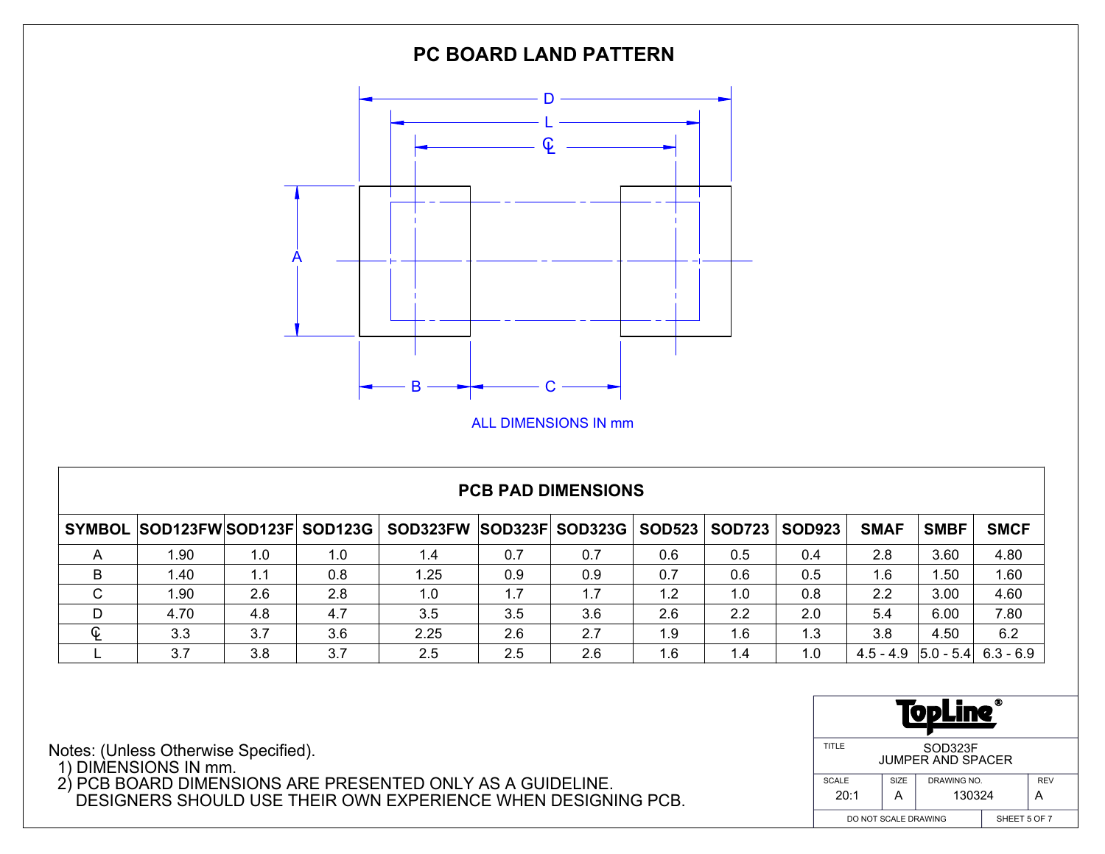

## **PCB PAD DIMENSIONS**

|             | SYMBOL SOD123FWSOD123F SOD123G |     |     | SOD323FW SOD323F SOD323G   SOD523   SOD723 |     |     |     |     | <b>SOD923</b> | <b>SMAF</b> | <b>SMBF</b> | <b>SMCF</b>             |
|-------------|--------------------------------|-----|-----|--------------------------------------------|-----|-----|-----|-----|---------------|-------------|-------------|-------------------------|
|             | .90                            | 1.0 | 1.0 | 4. ا                                       | 0.7 | 0.7 | 0.6 | 0.5 | 0.4           | 2.8         | 3.60        | 4.80                    |
| В           | l.40                           |     | 0.8 | 1.25                                       | 0.9 | 0.9 | 0.7 | 0.6 | 0.5           | 1.6         | 1.50        | 1.60                    |
| $\sim$<br>◡ | 1.90                           | 2.6 | 2.8 | 1.0                                        | 1.7 | 1.7 | 1.2 | 1.0 | 0.8           | 2.2         | 3.00        | 4.60                    |
| D           | 4.70                           | 4.8 | 4.7 | 3.5                                        | 3.5 | 3.6 | 2.6 | 2.2 | 2.0           | 5.4         | 6.00        | 7.80                    |
| ¢           | 3.3                            | 3.7 | 3.6 | 2.25                                       | 2.6 | 2.7 | 1.9 | 1.6 | 1.3           | 3.8         | 4.50        | 6.2                     |
|             | 3.7                            | 3.8 | 3.7 | 2.5                                        | 2.5 | 2.6 | 1.6 | 1.4 | 1.0           | 4.5 - 4.9   |             | $ 5.0 - 5.4 $ 6.3 - 6.9 |

| ۰<br>Ч<br><b>D</b>                           |              |                           |  |  |  |  |  |  |
|----------------------------------------------|--------------|---------------------------|--|--|--|--|--|--|
| TITLE<br>SOD323F<br><b>JUMPER AND SPACER</b> |              |                           |  |  |  |  |  |  |
| <b>SCALE</b>                                 | SIZE         | <b>REV</b><br>DRAWING NO. |  |  |  |  |  |  |
| 20:1                                         | А            | 130324<br>д               |  |  |  |  |  |  |
| DO NOT SCALE DRAWING                         | SHEET 5 OF 7 |                           |  |  |  |  |  |  |

Notes: (Unless Otherwise Specified).

1) DIMENSIONS IN mm.

 2) PCB BOARD DIMENSIONS ARE PRESENTED ONLY AS A GUIDELINE. DESIGNERS SHOULD USE THEIR OWN EXPERIENCE WHEN DESIGNING PCB.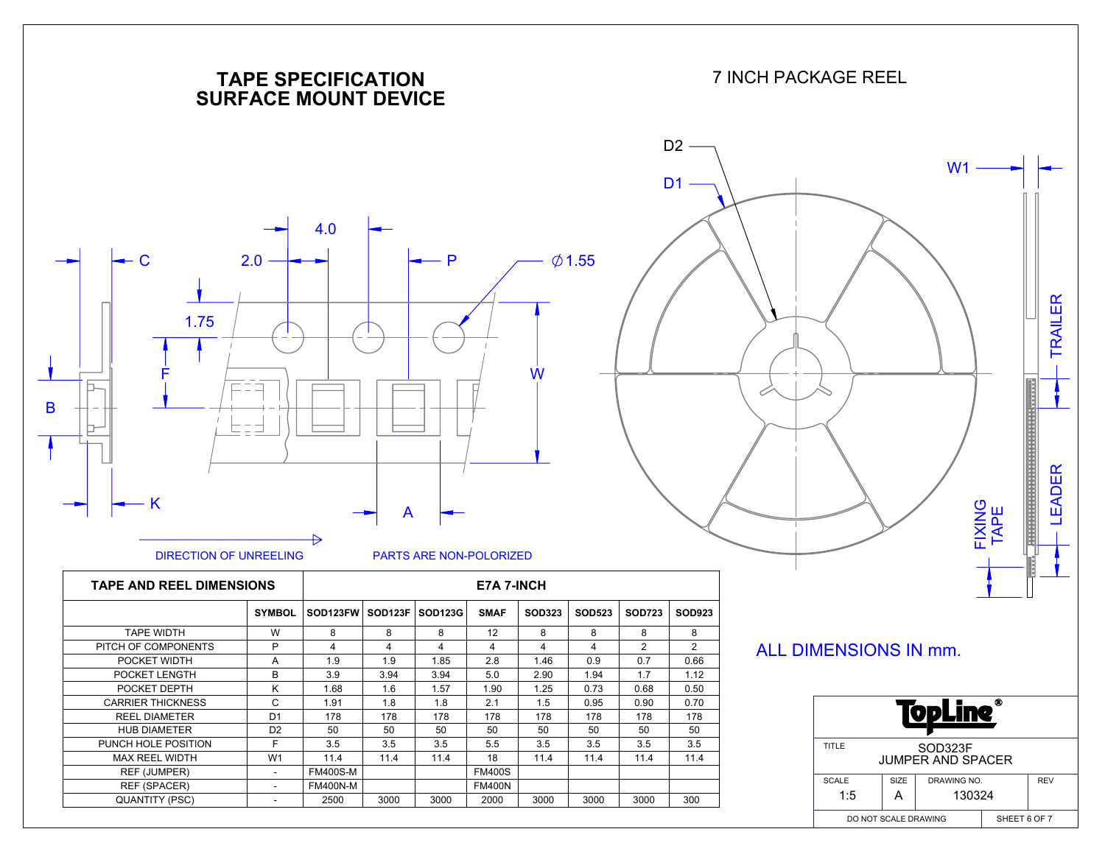